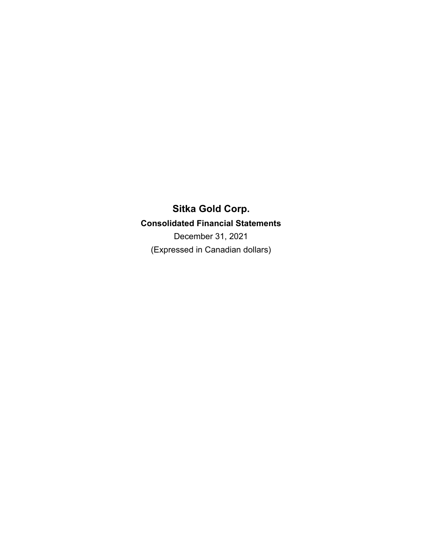# **Sitka Gold Corp. Consolidated Financial Statements**

December 31, 2021 (Expressed in Canadian dollars)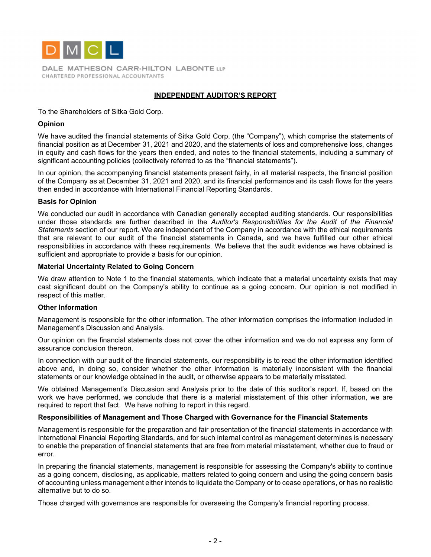

DALE MATHESON CARR-HILTON LABONTE LLP CHARTERED PROFESSIONAL ACCOUNTANTS

## **INDEPENDENT AUDITOR'S REPORT**

To the Shareholders of Sitka Gold Corp.

## **Opinion**

We have audited the financial statements of Sitka Gold Corp. (the "Company"), which comprise the statements of financial position as at December 31, 2021 and 2020, and the statements of loss and comprehensive loss, changes in equity and cash flows for the years then ended, and notes to the financial statements, including a summary of significant accounting policies (collectively referred to as the "financial statements").

In our opinion, the accompanying financial statements present fairly, in all material respects, the financial position of the Company as at December 31, 2021 and 2020, and its financial performance and its cash flows for the years then ended in accordance with International Financial Reporting Standards.

## **Basis for Opinion**

We conducted our audit in accordance with Canadian generally accepted auditing standards. Our responsibilities under those standards are further described in the *Auditor's Responsibilities for the Audit of the Financial Statements* section of our report. We are independent of the Company in accordance with the ethical requirements that are relevant to our audit of the financial statements in Canada, and we have fulfilled our other ethical responsibilities in accordance with these requirements. We believe that the audit evidence we have obtained is sufficient and appropriate to provide a basis for our opinion.

## **Material Uncertainty Related to Going Concern**

We draw attention to Note 1 to the financial statements, which indicate that a material uncertainty exists that may cast significant doubt on the Company's ability to continue as a going concern. Our opinion is not modified in respect of this matter.

## **Other Information**

Management is responsible for the other information. The other information comprises the information included in Management's Discussion and Analysis.

Our opinion on the financial statements does not cover the other information and we do not express any form of assurance conclusion thereon.

In connection with our audit of the financial statements, our responsibility is to read the other information identified above and, in doing so, consider whether the other information is materially inconsistent with the financial statements or our knowledge obtained in the audit, or otherwise appears to be materially misstated.

We obtained Management's Discussion and Analysis prior to the date of this auditor's report. If, based on the work we have performed, we conclude that there is a material misstatement of this other information, we are required to report that fact. We have nothing to report in this regard.

## **Responsibilities of Management and Those Charged with Governance for the Financial Statements**

Management is responsible for the preparation and fair presentation of the financial statements in accordance with International Financial Reporting Standards, and for such internal control as management determines is necessary to enable the preparation of financial statements that are free from material misstatement, whether due to fraud or error.

In preparing the financial statements, management is responsible for assessing the Company's ability to continue as a going concern, disclosing, as applicable, matters related to going concern and using the going concern basis of accounting unless management either intends to liquidate the Company or to cease operations, or has no realistic alternative but to do so.

Those charged with governance are responsible for overseeing the Company's financial reporting process.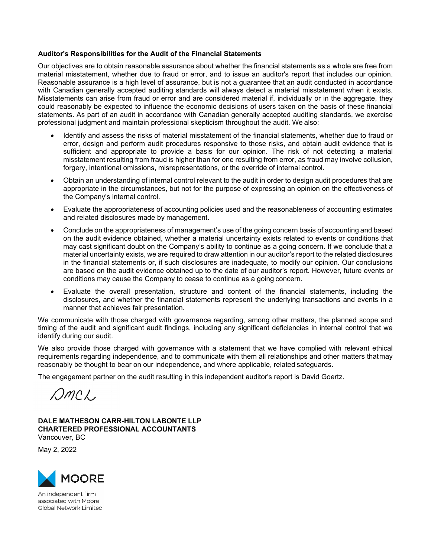## **Auditor's Responsibilities for the Audit of the Financial Statements**

Our objectives are to obtain reasonable assurance about whether the financial statements as a whole are free from material misstatement, whether due to fraud or error, and to issue an auditor's report that includes our opinion. Reasonable assurance is a high level of assurance, but is not a guarantee that an audit conducted in accordance with Canadian generally accepted auditing standards will always detect a material misstatement when it exists. Misstatements can arise from fraud or error and are considered material if, individually or in the aggregate, they could reasonably be expected to influence the economic decisions of users taken on the basis of these financial statements. As part of an audit in accordance with Canadian generally accepted auditing standards, we exercise professional judgment and maintain professional skepticism throughout the audit. We also:

- Identify and assess the risks of material misstatement of the financial statements, whether due to fraud or error, design and perform audit procedures responsive to those risks, and obtain audit evidence that is sufficient and appropriate to provide a basis for our opinion. The risk of not detecting a material misstatement resulting from fraud is higher than for one resulting from error, as fraud may involve collusion, forgery, intentional omissions, misrepresentations, or the override of internal control.
- Obtain an understanding of internal control relevant to the audit in order to design audit procedures that are appropriate in the circumstances, but not for the purpose of expressing an opinion on the effectiveness of the Company's internal control.
- Evaluate the appropriateness of accounting policies used and the reasonableness of accounting estimates and related disclosures made by management.
- Conclude on the appropriateness of management's use of the going concern basis of accounting and based on the audit evidence obtained, whether a material uncertainty exists related to events or conditions that may cast significant doubt on the Company's ability to continue as a going concern. If we conclude that a material uncertainty exists, we are required to draw attention in our auditor's report to the related disclosures in the financial statements or, if such disclosures are inadequate, to modify our opinion. Our conclusions are based on the audit evidence obtained up to the date of our auditor's report. However, future events or conditions may cause the Company to cease to continue as a going concern.
- Evaluate the overall presentation, structure and content of the financial statements, including the disclosures, and whether the financial statements represent the underlying transactions and events in a manner that achieves fair presentation.

We communicate with those charged with governance regarding, among other matters, the planned scope and timing of the audit and significant audit findings, including any significant deficiencies in internal control that we identify during our audit.

We also provide those charged with governance with a statement that we have complied with relevant ethical requirements regarding independence, and to communicate with them all relationships and other matters that may reasonably be thought to bear on our independence, and where applicable, related safeguards.

The engagement partner on the audit resulting in this independent auditor's report is David Goertz*.* 

DMCL

**DALE MATHESON CARR-HILTON LABONTE LLP CHARTERED PROFESSIONAL ACCOUNTANTS**  Vancouver, BC

May 2, 2022



An independent firm associated with Moore Global Network Limited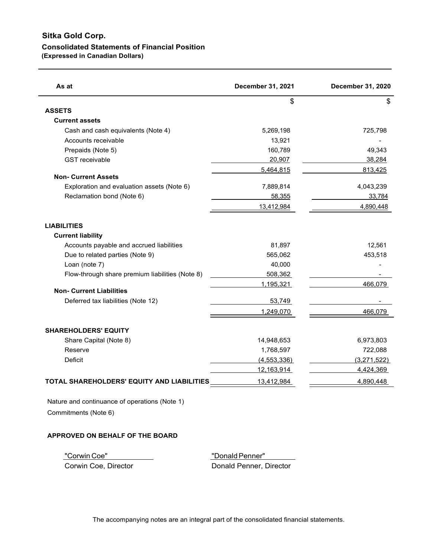## **Sitka Gold Corp.**

## **Consolidated Statements of Financial Position**

**(Expressed in Canadian Dollars)**

| As at                                           | December 31, 2021 | December 31, 2020 |
|-------------------------------------------------|-------------------|-------------------|
|                                                 | \$                | \$                |
| <b>ASSETS</b>                                   |                   |                   |
| <b>Current assets</b>                           |                   |                   |
| Cash and cash equivalents (Note 4)              | 5,269,198         | 725,798           |
| Accounts receivable                             | 13,921            |                   |
| Prepaids (Note 5)                               | 160,789           | 49,343            |
| <b>GST</b> receivable                           | 20,907            | 38,284            |
|                                                 | 5,464,815         | 813,425           |
| <b>Non- Current Assets</b>                      |                   |                   |
| Exploration and evaluation assets (Note 6)      | 7,889,814         | 4,043,239         |
| Reclamation bond (Note 6)                       | 58,355            | 33,784            |
|                                                 | 13,412,984        | 4,890,448         |
| <b>LIABILITIES</b>                              |                   |                   |
| <b>Current liability</b>                        |                   |                   |
| Accounts payable and accrued liabilities        | 81,897            | 12,561            |
| Due to related parties (Note 9)                 | 565,062           | 453,518           |
| Loan (note 7)                                   | 40,000            |                   |
| Flow-through share premium liabilities (Note 8) | 508,362           |                   |
|                                                 | 1,195,321         | 466,079           |
| <b>Non- Current Liabilities</b>                 |                   |                   |
| Deferred tax liabilities (Note 12)              | 53,749            |                   |
|                                                 | 1,249,070         | 466,079           |
| <b>SHAREHOLDERS' EQUITY</b>                     |                   |                   |
| Share Capital (Note 8)                          | 14,948,653        | 6,973,803         |
| Reserve                                         | 1,768,597         | 722,088           |
| Deficit                                         | (4,553,336)       | (3,271,522)       |
|                                                 | 12,163,914        | 4,424,369         |
| TOTAL SHAREHOLDERS' EQUITY AND LIABILITIES      | 13,412,984        | 4,890,448         |

Nature and continuance of operations (Note 1) Commitments (Note 6)

## **APPROVED ON BEHALF OF THE BOARD**

"Corwin Coe" "Donald Penner"

Corwin Coe, Director **Donald Penner**, Director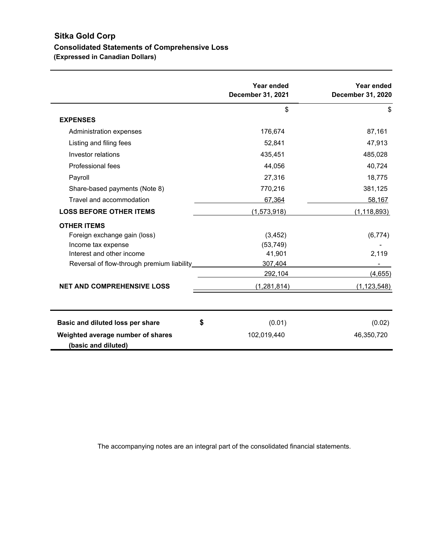## **Sitka Gold Corp**

## **Consolidated Statements of Comprehensive Loss**

**(Expressed in Canadian Dollars)** 

|                                                          | Year ended<br>December 31, 2021 | Year ended<br>December 31, 2020 |
|----------------------------------------------------------|---------------------------------|---------------------------------|
|                                                          | \$                              | \$                              |
| <b>EXPENSES</b>                                          |                                 |                                 |
| Administration expenses                                  | 176,674                         | 87,161                          |
| Listing and filing fees                                  | 52,841                          | 47,913                          |
| Investor relations                                       | 435,451                         | 485,028                         |
| Professional fees                                        | 44,056                          | 40,724                          |
| Payroll                                                  | 27,316                          | 18,775                          |
| Share-based payments (Note 8)                            | 770,216                         | 381,125                         |
| Travel and accommodation                                 | 67,364                          | 58,167                          |
| <b>LOSS BEFORE OTHER ITEMS</b>                           | (1,573,918)                     | (1, 118, 893)                   |
| <b>OTHER ITEMS</b>                                       |                                 |                                 |
| Foreign exchange gain (loss)                             | (3, 452)                        | (6, 774)                        |
| Income tax expense                                       | (53, 749)                       |                                 |
| Interest and other income                                | 41,901                          | 2,119                           |
| Reversal of flow-through premium liability               | 307,404                         |                                 |
|                                                          | 292,104                         | (4,655)                         |
| <b>NET AND COMPREHENSIVE LOSS</b>                        | (1,281,814)                     | (1, 123, 548)                   |
|                                                          |                                 |                                 |
| \$<br>Basic and diluted loss per share                   | (0.01)                          | (0.02)                          |
| Weighted average number of shares<br>(basic and diluted) | 102,019,440                     | 46,350,720                      |

The accompanying notes are an integral part of the consolidated financial statements.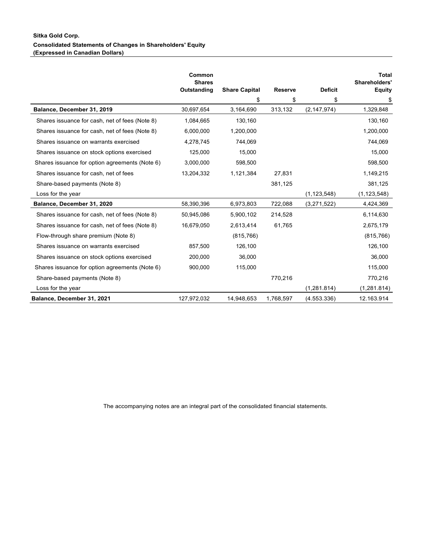## **Sitka Gold Corp. Consolidated Statements of Changes in Shareholders' Equity (Expressed in Canadian Dollars)**

|                                                | Common<br><b>Shares</b><br>Outstanding | <b>Share Capital</b> | <b>Reserve</b> | <b>Deficit</b> | Total<br>Shareholders'<br><b>Equity</b> |
|------------------------------------------------|----------------------------------------|----------------------|----------------|----------------|-----------------------------------------|
|                                                |                                        | \$                   | \$             | \$             | \$                                      |
| Balance, December 31, 2019                     | 30,697,654                             | 3,164,690            | 313,132        | (2, 147, 974)  | 1,329,848                               |
| Shares issuance for cash, net of fees (Note 8) | 1,084,665                              | 130,160              |                |                | 130,160                                 |
| Shares issuance for cash, net of fees (Note 8) | 6,000,000                              | 1,200,000            |                |                | 1,200,000                               |
| Shares issuance on warrants exercised          | 4,278,745                              | 744,069              |                |                | 744,069                                 |
| Shares issuance on stock options exercised     | 125,000                                | 15,000               |                |                | 15,000                                  |
| Shares issuance for option agreements (Note 6) | 3,000,000                              | 598,500              |                |                | 598,500                                 |
| Shares issuance for cash, net of fees          | 13,204,332                             | 1,121,384            | 27,831         |                | 1,149,215                               |
| Share-based payments (Note 8)                  |                                        |                      | 381,125        |                | 381,125                                 |
| Loss for the year                              |                                        |                      |                | (1, 123, 548)  | (1, 123, 548)                           |
| Balance, December 31, 2020                     | 58,390,396                             | 6,973,803            | 722,088        | (3,271,522)    | 4,424,369                               |
| Shares issuance for cash, net of fees (Note 8) | 50,945,086                             | 5,900,102            | 214,528        |                | 6,114,630                               |
| Shares issuance for cash, net of fees (Note 8) | 16,679,050                             | 2,613,414            | 61,765         |                | 2,675,179                               |
| Flow-through share premium (Note 8)            |                                        | (815, 766)           |                |                | (815, 766)                              |
| Shares issuance on warrants exercised          | 857,500                                | 126,100              |                |                | 126,100                                 |
| Shares issuance on stock options exercised     | 200,000                                | 36,000               |                |                | 36,000                                  |
| Shares issuance for option agreements (Note 6) | 900,000                                | 115,000              |                |                | 115,000                                 |
| Share-based payments (Note 8)                  |                                        |                      | 770,216        |                | 770,216                                 |
| Loss for the year                              |                                        |                      |                | (1, 281.814)   | (1,281.814)                             |
| Balance, December 31, 2021                     | 127,972,032                            | 14,948,653           | 1,768,597      | (4.553.336)    | 12.163.914                              |

The accompanying notes are an integral part of the consolidated financial statements.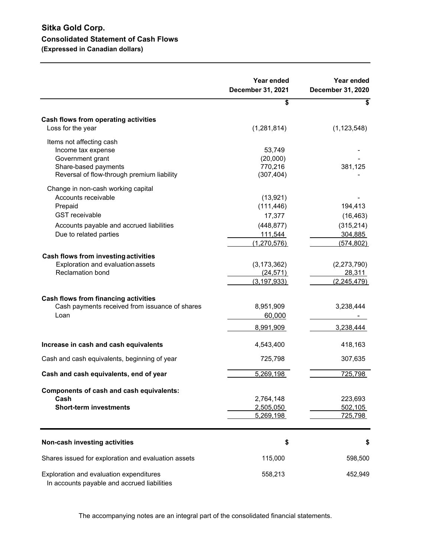## **Sitka Gold Corp. Consolidated Statement of Cash Flows (Expressed in Canadian dollars)**

|                                                     | Year ended<br>December 31, 2021 | Year ended<br>December 31, 2020 |
|-----------------------------------------------------|---------------------------------|---------------------------------|
|                                                     | \$                              | \$                              |
| Cash flows from operating activities                |                                 |                                 |
| Loss for the year                                   | (1, 281, 814)                   | (1, 123, 548)                   |
| Items not affecting cash                            |                                 |                                 |
| Income tax expense                                  | 53,749                          |                                 |
| Government grant                                    | (20,000)                        |                                 |
| Share-based payments                                | 770,216                         | 381,125                         |
| Reversal of flow-through premium liability          | (307, 404)                      |                                 |
| Change in non-cash working capital                  |                                 |                                 |
| Accounts receivable                                 | (13, 921)                       |                                 |
| Prepaid                                             | (111, 446)                      | 194,413                         |
| <b>GST</b> receivable                               | 17,377                          | (16, 463)                       |
| Accounts payable and accrued liabilities            | (448, 877)                      | (315, 214)                      |
| Due to related parties                              | 111,544                         | 304,885                         |
|                                                     | (1,270,576)                     | (574, 802)                      |
| Cash flows from investing activities                |                                 |                                 |
| Exploration and evaluation assets                   | (3, 173, 362)                   | (2, 273, 790)                   |
| <b>Reclamation bond</b>                             | (24, 571)                       | 28,311                          |
|                                                     | (3, 197, 933)                   | (2,245,479)                     |
| <b>Cash flows from financing activities</b>         |                                 |                                 |
| Cash payments received from issuance of shares      | 8,951,909                       | 3,238,444                       |
| Loan                                                | 60,000                          |                                 |
|                                                     |                                 |                                 |
|                                                     | 8,991,909                       | 3,238,444                       |
| Increase in cash and cash equivalents               | 4,543,400                       | 418,163                         |
| Cash and cash equivalents, beginning of year        | 725,798                         | 307,635                         |
|                                                     |                                 |                                 |
| Cash and cash equivalents, end of year              | 5,269,198                       | 725,798                         |
| Components of cash and cash equivalents:            |                                 |                                 |
| Cash                                                | 2,764,148                       | 223,693                         |
| <b>Short-term investments</b>                       | 2,505,050                       | 502,105                         |
|                                                     | 5,269,198                       | 725,798                         |
|                                                     |                                 |                                 |
| Non-cash investing activities                       | \$                              | \$                              |
| Shares issued for exploration and evaluation assets | 115,000                         | 598,500                         |
| Exploration and evaluation expenditures             | 558,213                         | 452,949                         |
| In accounts payable and accrued liabilities         |                                 |                                 |

The accompanying notes are an integral part of the consolidated financial statements.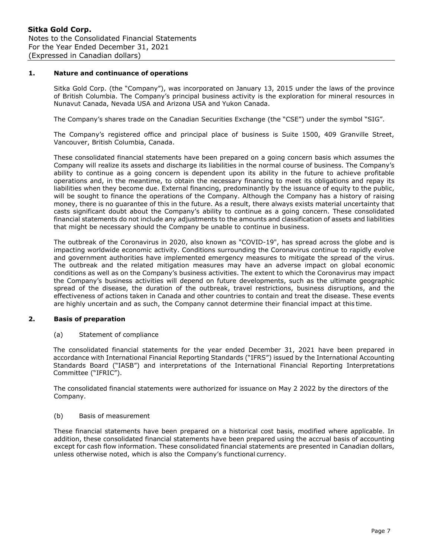#### **1. Nature and continuance of operations**

Sitka Gold Corp. (the "Company"), was incorporated on January 13, 2015 under the laws of the province of British Columbia. The Company's principal business activity is the exploration for mineral resources in Nunavut Canada, Nevada USA and Arizona USA and Yukon Canada.

The Company's shares trade on the Canadian Securities Exchange (the "CSE") under the symbol "SIG".

The Company's registered office and principal place of business is Suite 1500, 409 Granville Street, Vancouver, British Columbia, Canada.

These consolidated financial statements have been prepared on a going concern basis which assumes the Company will realize its assets and discharge its liabilities in the normal course of business. The Company's ability to continue as a going concern is dependent upon its ability in the future to achieve profitable operations and, in the meantime, to obtain the necessary financing to meet its obligations and repay its liabilities when they become due. External financing, predominantly by the issuance of equity to the public, will be sought to finance the operations of the Company. Although the Company has a history of raising money, there is no guarantee of this in the future. As a result, there always exists material uncertainty that casts significant doubt about the Company's ability to continue as a going concern. These consolidated financial statements do not include any adjustments to the amounts and classification of assets and liabilities that might be necessary should the Company be unable to continue in business.

The outbreak of the Coronavirus in 2020, also known as "COVID-19", has spread across the globe and is impacting worldwide economic activity. Conditions surrounding the Coronavirus continue to rapidly evolve and government authorities have implemented emergency measures to mitigate the spread of the virus. The outbreak and the related mitigation measures may have an adverse impact on global economic conditions as well as on the Company's business activities. The extent to which the Coronavirus may impact the Company's business activities will depend on future developments, such as the ultimate geographic spread of the disease, the duration of the outbreak, travel restrictions, business disruptions, and the effectiveness of actions taken in Canada and other countries to contain and treat the disease. These events are highly uncertain and as such, the Company cannot determine their financial impact at this time.

## **2. Basis of preparation**

(a) Statement of compliance

The consolidated financial statements for the year ended December 31, 2021 have been prepared in accordance with International Financial Reporting Standards ("IFRS") issued by the International Accounting Standards Board ("IASB") and interpretations of the International Financial Reporting Interpretations Committee ("IFRIC").

The consolidated financial statements were authorized for issuance on May 2 2022 by the directors of the Company.

#### (b) Basis of measurement

These financial statements have been prepared on a historical cost basis, modified where applicable. In addition, these consolidated financial statements have been prepared using the accrual basis of accounting except for cash flow information. These consolidated financial statements are presented in Canadian dollars, unless otherwise noted, which is also the Company's functional currency.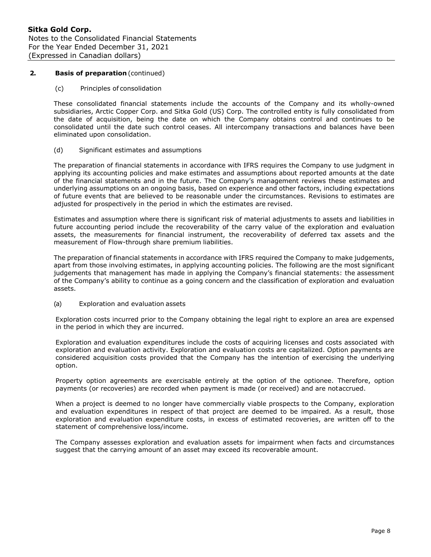## **2. Basis of preparation** (continued)

#### (c) Principles of consolidation

These consolidated financial statements include the accounts of the Company and its wholly-owned subsidiaries, Arctic Copper Corp. and Sitka Gold (US) Corp. The controlled entity is fully consolidated from the date of acquisition, being the date on which the Company obtains control and continues to be consolidated until the date such control ceases. All intercompany transactions and balances have been eliminated upon consolidation.

#### (d) Significant estimates and assumptions

The preparation of financial statements in accordance with IFRS requires the Company to use judgment in applying its accounting policies and make estimates and assumptions about reported amounts at the date of the financial statements and in the future. The Company's management reviews these estimates and underlying assumptions on an ongoing basis, based on experience and other factors, including expectations of future events that are believed to be reasonable under the circumstances. Revisions to estimates are adjusted for prospectively in the period in which the estimates are revised.

Estimates and assumption where there is significant risk of material adjustments to assets and liabilities in future accounting period include the recoverability of the carry value of the exploration and evaluation assets, the measurements for financial instrument, the recoverability of deferred tax assets and the measurement of Flow-through share premium liabilities.

The preparation of financial statements in accordance with IFRS required the Company to make judgements, apart from those involving estimates, in applying accounting policies. The following are the most significant judgements that management has made in applying the Company's financial statements: the assessment of the Company's ability to continue as a going concern and the classification of exploration and evaluation assets.

(a) Exploration and evaluation assets

Exploration costs incurred prior to the Company obtaining the legal right to explore an area are expensed in the period in which they are incurred.

Exploration and evaluation expenditures include the costs of acquiring licenses and costs associated with exploration and evaluation activity. Exploration and evaluation costs are capitalized. Option payments are considered acquisition costs provided that the Company has the intention of exercising the underlying option.

Property option agreements are exercisable entirely at the option of the optionee. Therefore, option payments (or recoveries) are recorded when payment is made (or received) and are not accrued.

When a project is deemed to no longer have commercially viable prospects to the Company, exploration and evaluation expenditures in respect of that project are deemed to be impaired. As a result, those exploration and evaluation expenditure costs, in excess of estimated recoveries, are written off to the statement of comprehensive loss/income.

The Company assesses exploration and evaluation assets for impairment when facts and circumstances suggest that the carrying amount of an asset may exceed its recoverable amount.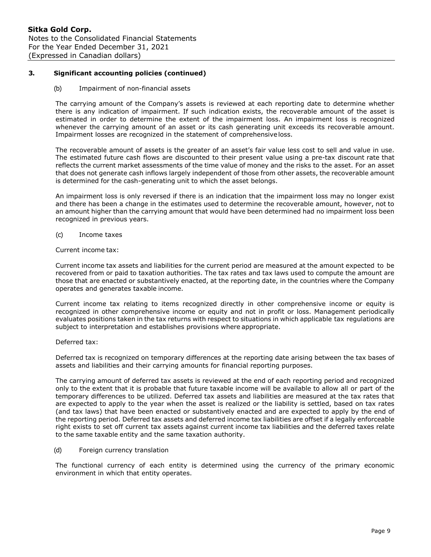#### (b) Impairment of non-financial assets

The carrying amount of the Company's assets is reviewed at each reporting date to determine whether there is any indication of impairment. If such indication exists, the recoverable amount of the asset is estimated in order to determine the extent of the impairment loss. An impairment loss is recognized whenever the carrying amount of an asset or its cash generating unit exceeds its recoverable amount. Impairment losses are recognized in the statement of comprehensive loss.

The recoverable amount of assets is the greater of an asset's fair value less cost to sell and value in use. The estimated future cash flows are discounted to their present value using a pre-tax discount rate that reflects the current market assessments of the time value of money and the risks to the asset. For an asset that does not generate cash inflows largely independent of those from other assets, the recoverable amount is determined for the cash-generating unit to which the asset belongs.

An impairment loss is only reversed if there is an indication that the impairment loss may no longer exist and there has been a change in the estimates used to determine the recoverable amount, however, not to an amount higher than the carrying amount that would have been determined had no impairment loss been recognized in previous years.

(c) Income taxes

#### Current income tax:

Current income tax assets and liabilities for the current period are measured at the amount expected to be recovered from or paid to taxation authorities. The tax rates and tax laws used to compute the amount are those that are enacted or substantively enacted, at the reporting date, in the countries where the Company operates and generates taxable income.

Current income tax relating to items recognized directly in other comprehensive income or equity is recognized in other comprehensive income or equity and not in profit or loss. Management periodically evaluates positions taken in the tax returns with respect to situations in which applicable tax regulations are subject to interpretation and establishes provisions where appropriate.

#### Deferred tax:

Deferred tax is recognized on temporary differences at the reporting date arising between the tax bases of assets and liabilities and their carrying amounts for financial reporting purposes.

The carrying amount of deferred tax assets is reviewed at the end of each reporting period and recognized only to the extent that it is probable that future taxable income will be available to allow all or part of the temporary differences to be utilized. Deferred tax assets and liabilities are measured at the tax rates that are expected to apply to the year when the asset is realized or the liability is settled, based on tax rates (and tax laws) that have been enacted or substantively enacted and are expected to apply by the end of the reporting period. Deferred tax assets and deferred income tax liabilities are offset if a legally enforceable right exists to set off current tax assets against current income tax liabilities and the deferred taxes relate to the same taxable entity and the same taxation authority.

#### (d) Foreign currency translation

The functional currency of each entity is determined using the currency of the primary economic environment in which that entity operates.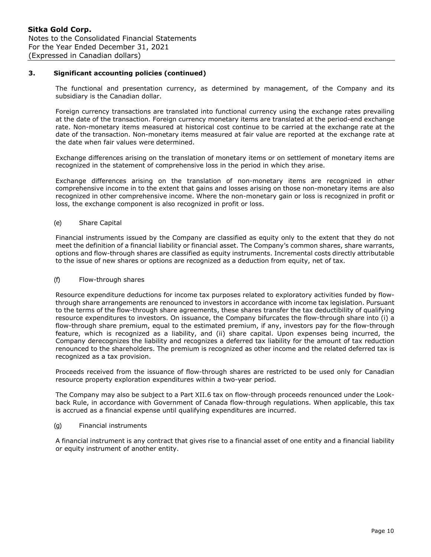The functional and presentation currency, as determined by management, of the Company and its subsidiary is the Canadian dollar.

Foreign currency transactions are translated into functional currency using the exchange rates prevailing at the date of the transaction. Foreign currency monetary items are translated at the period-end exchange rate. Non-monetary items measured at historical cost continue to be carried at the exchange rate at the date of the transaction. Non-monetary items measured at fair value are reported at the exchange rate at the date when fair values were determined.

Exchange differences arising on the translation of monetary items or on settlement of monetary items are recognized in the statement of comprehensive loss in the period in which they arise.

Exchange differences arising on the translation of non-monetary items are recognized in other comprehensive income in to the extent that gains and losses arising on those non-monetary items are also recognized in other comprehensive income. Where the non-monetary gain or loss is recognized in profit or loss, the exchange component is also recognized in profit or loss.

## (e) Share Capital

Financial instruments issued by the Company are classified as equity only to the extent that they do not meet the definition of a financial liability or financial asset. The Company's common shares, share warrants, options and flow-through shares are classified as equity instruments. Incremental costs directly attributable to the issue of new shares or options are recognized as a deduction from equity, net of tax.

#### (f) Flow-through shares

Resource expenditure deductions for income tax purposes related to exploratory activities funded by flowthrough share arrangements are renounced to investors in accordance with income tax legislation. Pursuant to the terms of the flow-through share agreements, these shares transfer the tax deductibility of qualifying resource expenditures to investors. On issuance, the Company bifurcates the flow-through share into (i) a flow-through share premium, equal to the estimated premium, if any, investors pay for the flow-through feature, which is recognized as a liability, and (ii) share capital. Upon expenses being incurred, the Company derecognizes the liability and recognizes a deferred tax liability for the amount of tax reduction renounced to the shareholders. The premium is recognized as other income and the related deferred tax is recognized as a tax provision.

Proceeds received from the issuance of flow-through shares are restricted to be used only for Canadian resource property exploration expenditures within a two-year period.

The Company may also be subject to a Part XII.6 tax on flow-through proceeds renounced under the Lookback Rule, in accordance with Government of Canada flow-through regulations. When applicable, this tax is accrued as a financial expense until qualifying expenditures are incurred.

## (g) Financial instruments

A financial instrument is any contract that gives rise to a financial asset of one entity and a financial liability or equity instrument of another entity.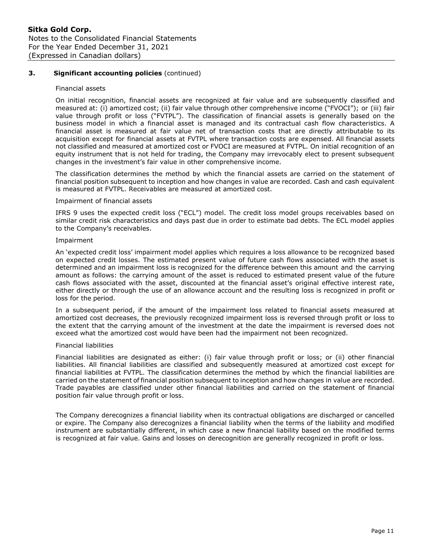#### Financial assets

On initial recognition, financial assets are recognized at fair value and are subsequently classified and measured at: (i) amortized cost; (ii) fair value through other comprehensive income ("FVOCI"); or (iii) fair value through profit or loss ("FVTPL"). The classification of financial assets is generally based on the business model in which a financial asset is managed and its contractual cash flow characteristics. A financial asset is measured at fair value net of transaction costs that are directly attributable to its acquisition except for financial assets at FVTPL where transaction costs are expensed. All financial assets not classified and measured at amortized cost or FVOCI are measured at FVTPL. On initial recognition of an equity instrument that is not held for trading, the Company may irrevocably elect to present subsequent changes in the investment's fair value in other comprehensive income.

The classification determines the method by which the financial assets are carried on the statement of financial position subsequent to inception and how changes in value are recorded. Cash and cash equivalent is measured at FVTPL. Receivables are measured at amortized cost.

#### Impairment of financial assets

IFRS 9 uses the expected credit loss ("ECL") model. The credit loss model groups receivables based on similar credit risk characteristics and days past due in order to estimate bad debts. The ECL model applies to the Company's receivables.

#### Impairment

An 'expected credit loss' impairment model applies which requires a loss allowance to be recognized based on expected credit losses. The estimated present value of future cash flows associated with the asset is determined and an impairment loss is recognized for the difference between this amount and the carrying amount as follows: the carrying amount of the asset is reduced to estimated present value of the future cash flows associated with the asset, discounted at the financial asset's original effective interest rate, either directly or through the use of an allowance account and the resulting loss is recognized in profit or loss for the period.

In a subsequent period, if the amount of the impairment loss related to financial assets measured at amortized cost decreases, the previously recognized impairment loss is reversed through profit or loss to the extent that the carrying amount of the investment at the date the impairment is reversed does not exceed what the amortized cost would have been had the impairment not been recognized.

#### Financial liabilities

Financial liabilities are designated as either: (i) fair value through profit or loss; or (ii) other financial liabilities. All financial liabilities are classified and subsequently measured at amortized cost except for financial liabilities at FVTPL. The classification determines the method by which the financial liabilities are carried on the statement of financial position subsequent to inception and how changes in value are recorded. Trade payables are classified under other financial liabilities and carried on the statement of financial position fair value through profit or loss.

The Company derecognizes a financial liability when its contractual obligations are discharged or cancelled or expire. The Company also derecognizes a financial liability when the terms of the liability and modified instrument are substantially different, in which case a new financial liability based on the modified terms is recognized at fair value. Gains and losses on derecognition are generally recognized in profit or loss.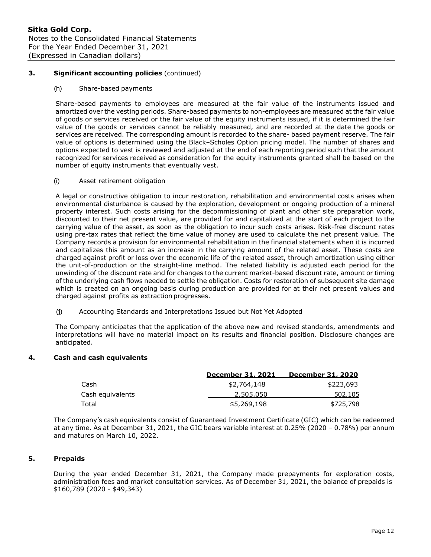## (h) Share-based payments

Share-based payments to employees are measured at the fair value of the instruments issued and amortized over the vesting periods. Share-based payments to non-employees are measured at the fair value of goods or services received or the fair value of the equity instruments issued, if it is determined the fair value of the goods or services cannot be reliably measured, and are recorded at the date the goods or services are received. The corresponding amount is recorded to the share- based payment reserve. The fair value of options is determined using the Black–Scholes Option pricing model. The number of shares and options expected to vest is reviewed and adjusted at the end of each reporting period such that the amount recognized for services received as consideration for the equity instruments granted shall be based on the number of equity instruments that eventually vest.

#### (i) Asset retirement obligation

A legal or constructive obligation to incur restoration, rehabilitation and environmental costs arises when environmental disturbance is caused by the exploration, development or ongoing production of a mineral property interest. Such costs arising for the decommissioning of plant and other site preparation work, discounted to their net present value, are provided for and capitalized at the start of each project to the carrying value of the asset, as soon as the obligation to incur such costs arises. Risk-free discount rates using pre-tax rates that reflect the time value of money are used to calculate the net present value. The Company records a provision for environmental rehabilitation in the financial statements when it is incurred and capitalizes this amount as an increase in the carrying amount of the related asset. These costs are charged against profit or loss over the economic life of the related asset, through amortization using either the unit-of-production or the straight-line method. The related liability is adjusted each period for the unwinding of the discount rate and for changes to the current market-based discount rate, amount or timing of the underlying cash flows needed to settle the obligation. Costs for restoration of subsequent site damage which is created on an ongoing basis during production are provided for at their net present values and charged against profits as extraction progresses.

(j) Accounting Standards and Interpretations Issued but Not Yet Adopted

The Company anticipates that the application of the above new and revised standards, amendments and interpretations will have no material impact on its results and financial position. Disclosure changes are anticipated.

## **4. Cash and cash equivalents**

|                  | December 31, 2021 | <b>December 31, 2020</b> |
|------------------|-------------------|--------------------------|
| Cash             | \$2,764,148       | \$223,693                |
| Cash equivalents | 2,505,050         | 502,105                  |
| Total            | \$5,269,198       | \$725,798                |

The Company's cash equivalents consist of Guaranteed Investment Certificate (GIC) which can be redeemed at any time. As at December 31, 2021, the GIC bears variable interest at 0.25% (2020 – 0.78%) per annum and matures on March 10, 2022.

## **5. Prepaids**

During the year ended December 31, 2021, the Company made prepayments for exploration costs, administration fees and market consultation services. As of December 31, 2021, the balance of prepaids is \$160,789 (2020 - \$49,343)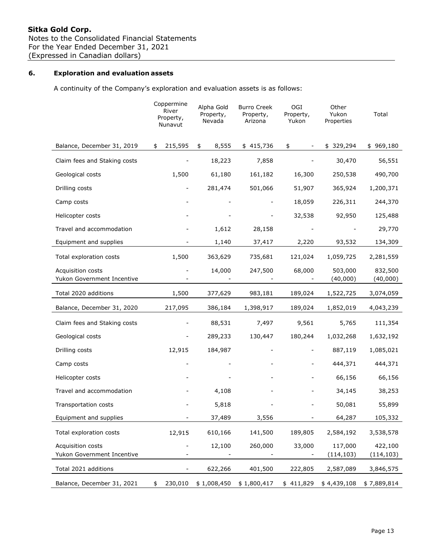## **6. Exploration and evaluation assets**

A continuity of the Company's exploration and evaluation assets is as follows:

|                                                 | Coppermine<br>River<br>Property,<br>Nunavut | Alpha Gold<br>Property,<br>Nevada | <b>Burro Creek</b><br>Property,<br>Arizona | OGI<br>Property,<br>Yukon      | Other<br>Yukon<br>Properties | Total                 |
|-------------------------------------------------|---------------------------------------------|-----------------------------------|--------------------------------------------|--------------------------------|------------------------------|-----------------------|
| Balance, December 31, 2019                      | 215,595<br>\$                               | 8,555<br>\$                       | \$415,736                                  | \$<br>$\overline{\phantom{a}}$ | \$329,294                    | \$969,180             |
| Claim fees and Staking costs                    |                                             | 18,223                            | 7,858                                      |                                | 30,470                       | 56,551                |
| Geological costs                                | 1,500                                       | 61,180                            | 161,182                                    | 16,300                         | 250,538                      | 490,700               |
| Drilling costs                                  | $\overline{\phantom{0}}$                    | 281,474                           | 501,066                                    | 51,907                         | 365,924                      | 1,200,371             |
| Camp costs                                      |                                             |                                   |                                            | 18,059                         | 226,311                      | 244,370               |
| Helicopter costs                                |                                             |                                   |                                            | 32,538                         | 92,950                       | 125,488               |
| Travel and accommodation                        |                                             | 1,612                             | 28,158                                     |                                |                              | 29,770                |
| Equipment and supplies                          |                                             | 1,140                             | 37,417                                     | 2,220                          | 93,532                       | 134,309               |
| Total exploration costs                         | 1,500                                       | 363,629                           | 735,681                                    | 121,024                        | 1,059,725                    | 2,281,559             |
| Acquisition costs<br>Yukon Government Incentive |                                             | 14,000                            | 247,500                                    | 68,000                         | 503,000<br>(40,000)          | 832,500<br>(40,000)   |
| Total 2020 additions                            | 1,500                                       | 377,629                           | 983,181                                    | 189,024                        | 1,522,725                    | 3,074,059             |
| Balance, December 31, 2020                      | 217,095                                     | 386,184                           | 1,398,917                                  | 189,024                        | 1,852,019                    | 4,043,239             |
| Claim fees and Staking costs                    |                                             | 88,531                            | 7,497                                      | 9,561                          | 5,765                        | 111,354               |
| Geological costs                                |                                             | 289,233                           | 130,447                                    | 180,244                        | 1,032,268                    | 1,632,192             |
| Drilling costs                                  | 12,915                                      | 184,987                           |                                            |                                | 887,119                      | 1,085,021             |
| Camp costs                                      |                                             |                                   |                                            |                                | 444,371                      | 444,371               |
| Helicopter costs                                |                                             |                                   |                                            |                                | 66,156                       | 66,156                |
| Travel and accommodation                        |                                             | 4,108                             |                                            |                                | 34,145                       | 38,253                |
| Transportation costs                            |                                             | 5,818                             |                                            |                                | 50,081                       | 55,899                |
| Equipment and supplies                          |                                             | 37,489                            | 3,556                                      |                                | 64,287                       | 105,332               |
| Total exploration costs                         | 12,915                                      | 610,166                           | 141,500                                    | 189,805                        | 2,584,192                    | 3,538,578             |
| Acquisition costs<br>Yukon Government Incentive |                                             | 12,100                            | 260,000                                    | 33,000                         | 117,000<br>(114, 103)        | 422,100<br>(114, 103) |
| Total 2021 additions                            |                                             | 622,266                           | 401,500                                    | 222,805                        | 2,587,089                    | 3,846,575             |
| Balance, December 31, 2021                      | \$<br>230,010                               | \$1,008,450                       | \$1,800,417                                | \$411,829                      | \$4,439,108                  | \$7,889,814           |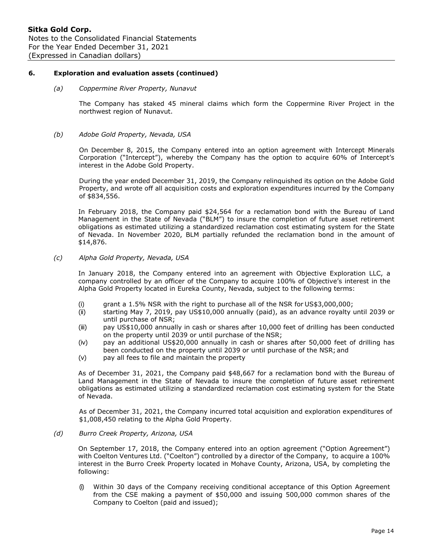#### *(a) Coppermine River Property, Nunavut*

The Company has staked 45 mineral claims which form the Coppermine River Project in the northwest region of Nunavut.

#### *(b) Adobe Gold Property, Nevada, USA*

On December 8, 2015, the Company entered into an option agreement with Intercept Minerals Corporation ("Intercept"), whereby the Company has the option to acquire 60% of Intercept's interest in the Adobe Gold Property.

During the year ended December 31, 2019, the Company relinquished its option on the Adobe Gold Property, and wrote off all acquisition costs and exploration expenditures incurred by the Company of \$834,556.

In February 2018, the Company paid \$24,564 for a reclamation bond with the Bureau of Land Management in the State of Nevada ("BLM") to insure the completion of future asset retirement obligations as estimated utilizing a standardized reclamation cost estimating system for the State of Nevada. In November 2020, BLM partially refunded the reclamation bond in the amount of \$14,876.

*(c) Alpha Gold Property, Nevada, USA* 

In January 2018, the Company entered into an agreement with Objective Exploration LLC, a company controlled by an officer of the Company to acquire 100% of Objective's interest in the Alpha Gold Property located in Eureka County, Nevada, subject to the following terms:

- (i) grant a  $1.5\%$  NSR with the right to purchase all of the NSR for US\$3,000,000;
- (ii) starting May 7, 2019, pay US\$10,000 annually (paid), as an advance royalty until 2039 or until purchase of NSR;
- (iii) pay US\$10,000 annually in cash or shares after 10,000 feet of drilling has been conducted on the property until 2039 or until purchase of the NSR;
- (iv) pay an additional US\$20,000 annually in cash or shares after 50,000 feet of drilling has been conducted on the property until 2039 or until purchase of the NSR; and
- (v) pay all fees to file and maintain the property

As of December 31, 2021, the Company paid \$48,667 for a reclamation bond with the Bureau of Land Management in the State of Nevada to insure the completion of future asset retirement obligations as estimated utilizing a standardized reclamation cost estimating system for the State of Nevada.

As of December 31, 2021, the Company incurred total acquisition and exploration expenditures of \$1,008,450 relating to the Alpha Gold Property.

*(d) Burro Creek Property, Arizona, USA* 

On September 17, 2018, the Company entered into an option agreement ("Option Agreement") with Coelton Ventures Ltd. ("Coelton") controlled by a director of the Company, to acquire a 100% interest in the Burro Creek Property located in Mohave County, Arizona, USA, by completing the following:

(i) Within 30 days of the Company receiving conditional acceptance of this Option Agreement from the CSE making a payment of \$50,000 and issuing 500,000 common shares of the Company to Coelton (paid and issued);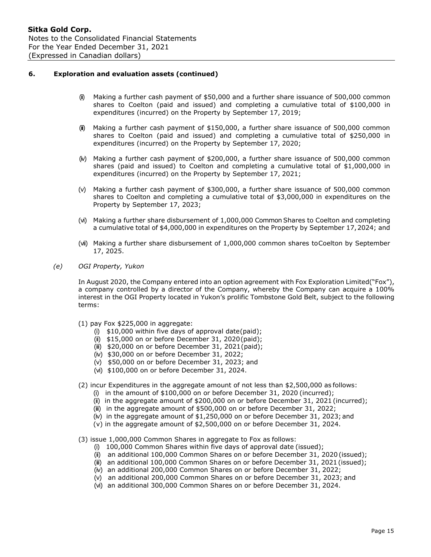- $(i)$  Making a further cash payment of \$50,000 and a further share issuance of 500.000 common shares to Coelton (paid and issued) and completing a cumulative total of \$100,000 in expenditures (incurred) on the Property by September 17, 2019;
- $(iii)$  Making a further cash payment of \$150,000, a further share issuance of 500,000 common shares to Coelton (paid and issued) and completing a cumulative total of \$250,000 in expenditures (incurred) on the Property by September 17, 2020;
- (iv) Making a further cash payment of \$200,000, a further share issuance of 500,000 common shares (paid and issued) to Coelton and completing a cumulative total of \$1,000,000 in expenditures (incurred) on the Property by September 17, 2021;
- (v) Making a further cash payment of \$300,000, a further share issuance of 500,000 common shares to Coelton and completing a cumulative total of \$3,000,000 in expenditures on the Property by September 17, 2023;
- (vi) Making a further share disbursement of 1,000,000 Common Shares to Coelton and completing a cumulative total of \$4,000,000 in expenditures on the Property by September 17, 2024; and
- (vii) Making a further share disbursement of 1,000,000 common shares to Coelton by September 17, 2025.
- *(e) OGI Property, Yukon*

In August 2020, the Company entered into an option agreement with Fox Exploration Limited("Fox"), a company controlled by a director of the Company, whereby the Company can acquire a 100% interest in the OGI Property located in Yukon's prolific Tombstone Gold Belt, subject to the following terms:

- (1) pay Fox \$225,000 in aggregate:
	- (i)  $$10,000$  within five days of approval date (paid);
	- (ii) \$15,000 on or before December 31, 2020 (paid);
	- (iii) \$20,000 on or before December 31, 2021 (paid);
	- (iv) \$30,000 on or before December 31, 2022;
	- (v) \$50,000 on or before December 31, 2023; and
	- (vi) \$100,000 on or before December 31, 2024.
- (2) incur Expenditures in the aggregate amount of not less than \$2,500,000 as follows:
	- (i) in the amount of  $$100,000$  on or before December 31, 2020 (incurred);
	- (ii) in the aggregate amount of \$200,000 on or before December 31, 2021 (incurred);
	- (iii) in the aggregate amount of \$500,000 on or before December 31, 2022;
	- (iv) in the aggregate amount of \$1,250,000 on or before December 31, 2023; and
	- (v) in the aggregate amount of \$2,500,000 on or before December 31, 2024.

(3) issue 1,000,000 Common Shares in aggregate to Fox as follows:

- (i) 100,000 Common Shares within five days of approval date (issued);
- (ii) an additional 100,000 Common Shares on or before December 31, 2020 (issued);
- (iii) an additional 100,000 Common Shares on or before December 31, 2021 (issued);
- (iv) an additional 200,000 Common Shares on or before December 31, 2022;
- (v) an additional 200,000 Common Shares on or before December 31, 2023; and
- (vi) an additional 300,000 Common Shares on or before December 31, 2024.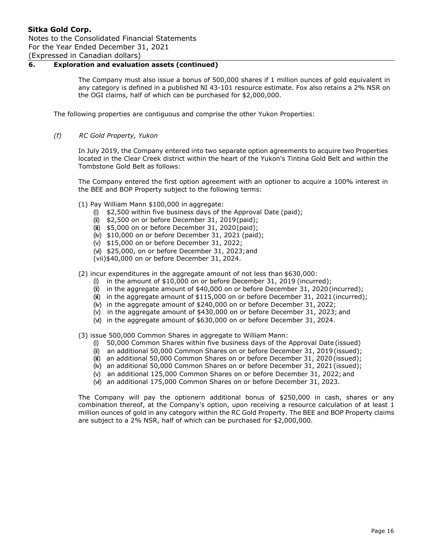The Company must also issue a bonus of 500,000 shares if 1 million ounces of gold equivalent in any category is defined in a published NI 43-101 resource estimate. Fox also retains a 2% NSR on the OGI claims, half of which can be purchased for \$2,000,000.

The following properties are contiguous and comprise the other Yukon Properties:

*(f) RC Gold Property, Yukon* 

In July 2019, the Company entered into two separate option agreements to acquire two Properties located in the Clear Creek district within the heart of the Yukon's Tintina Gold Belt and within the Tombstone Gold Belt as follows:

The Company entered the first option agreement with an optioner to acquire a 100% interest in the BEE and BOP Property subject to the following terms:

- (1) Pay William Mann \$100,000 in aggregate:
	- (i) \$2,500 within five business days of the Approval Date (paid);
	- (ii)  $$2,500$  on or before December 31, 2019(paid);
	- (iii) \$5,000 on or before December 31, 2020 (paid);
	- (iv) \$10,000 on or before December 31, 2021 (paid);
	- (v) \$15,000 on or before December 31, 2022;
	- (vi) \$25,000, on or before December 31, 2023; and

(vii)\$40,000 on or before December 31, 2024.

(2) incur expenditures in the aggregate amount of not less than \$630,000:

- (i) in the amount of  $$10,000$  on or before December 31, 2019 (incurred);
- (ii) in the aggregate amount of  $$40,000$  on or before December 31, 2020 (incurred);
- (iii) in the aggregate amount of  $$115,000$  on or before December 31, 2021 (incurred);
- (iv) in the aggregate amount of \$240,000 on or before December 31, 2022;
- (v) in the aggregate amount of \$430,000 on or before December 31, 2023; and
- (vi) in the aggregate amount of \$630,000 on or before December 31, 2024.

(3) issue 500,000 Common Shares in aggregate to William Mann:

- (i) 50,000 Common Shares within five business days of the Approval Date (issued)
- (ii) an additional 50,000 Common Shares on or before December 31, 2019 (issued);
- (iii) an additional 50,000 Common Shares on or before December 31, 2020 (issued);
- (iv) an additional 50,000 Common Shares on or before December 31, 2021 (issued);
- (v) an additional 125,000 Common Shares on or before December 31, 2022; and
- (vi) an additional 175,000 Common Shares on or before December 31, 2023.

The Company will pay the optionern additional bonus of \$250,000 in cash, shares or any combination thereof, at the Company's option, upon receiving a resource calculation of at least 1 million ounces of gold in any category within the RC Gold Property. The BEE and BOP Property claims are subject to a 2% NSR, half of which can be purchased for \$2,000,000.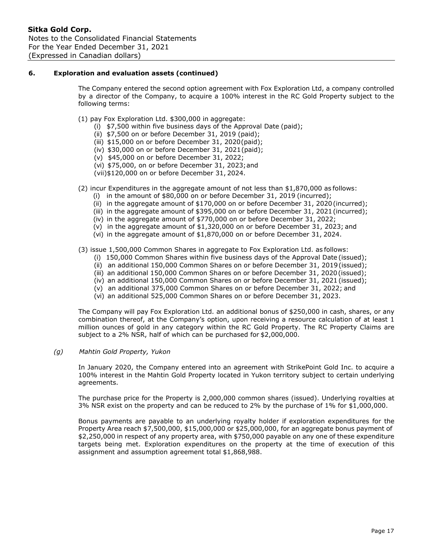The Company entered the second option agreement with Fox Exploration Ltd, a company controlled by a director of the Company, to acquire a 100% interest in the RC Gold Property subject to the following terms:

- (1) pay Fox Exploration Ltd. \$300,000 in aggregate:
	- (i) \$7,500 within five business days of the Approval Date (paid);
	- (ii) \$7,500 on or before December 31, 2019 (paid);
	- (iii) \$15,000 on or before December 31, 2020 (paid);
	- (iv) \$30,000 on or before December 31, 2021 (paid);
	- (v) \$45,000 on or before December 31, 2022;
	- (vi) \$75,000, on or before December 31, 2023; and
	- (vii)\$120,000 on or before December 31, 2024.
- (2) incur Expenditures in the aggregate amount of not less than \$1,870,000 as follows:
	- (i) in the amount of  $$80,000$  on or before December 31, 2019 (incurred);
	- (ii) in the aggregate amount of \$170,000 on or before December 31, 2020 (incurred);
	- (iii) in the aggregate amount of \$395,000 on or before December 31, 2021 (incurred);
	- (iv) in the aggregate amount of \$770,000 on or before December 31, 2022;
	- (v) in the aggregate amount of \$1,320,000 on or before December 31, 2023; and
	- (vi) in the aggregate amount of \$1,870,000 on or before December 31, 2024.

(3) issue 1,500,000 Common Shares in aggregate to Fox Exploration Ltd. as follows:

- (i) 150,000 Common Shares within five business days of the Approval Date (issued);
- (ii) an additional 150,000 Common Shares on or before December 31, 2019 (issued);
- (iii) an additional 150,000 Common Shares on or before December 31, 2020 (issued);
- (iv) an additional 150,000 Common Shares on or before December 31, 2021 (issued);
- (v) an additional 375,000 Common Shares on or before December 31, 2022; and
- (vi) an additional 525,000 Common Shares on or before December 31, 2023.

The Company will pay Fox Exploration Ltd. an additional bonus of \$250,000 in cash, shares, or any combination thereof, at the Company's option, upon receiving a resource calculation of at least 1 million ounces of gold in any category within the RC Gold Property. The RC Property Claims are subject to a 2% NSR, half of which can be purchased for \$2,000,000.

#### *(g) Mahtin Gold Property, Yukon*

In January 2020, the Company entered into an agreement with StrikePoint Gold Inc. to acquire a 100% interest in the Mahtin Gold Property located in Yukon territory subject to certain underlying agreements.

The purchase price for the Property is 2,000,000 common shares (issued). Underlying royalties at 3% NSR exist on the property and can be reduced to 2% by the purchase of 1% for \$1,000,000.

Bonus payments are payable to an underlying royalty holder if exploration expenditures for the Property Area reach \$7,500,000, \$15,000,000 or \$25,000,000, for an aggregate bonus payment of \$2,250,000 in respect of any property area, with \$750,000 payable on any one of these expenditure targets being met. Exploration expenditures on the property at the time of execution of this assignment and assumption agreement total \$1,868,988.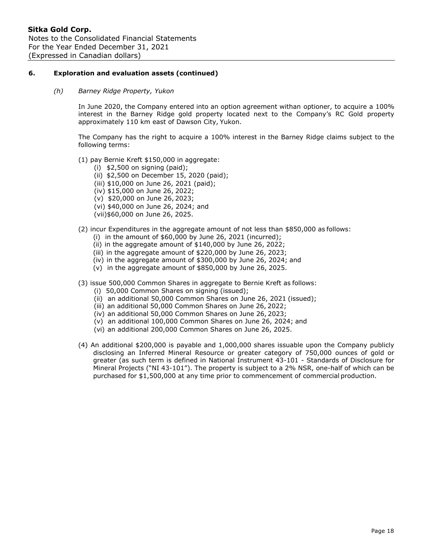#### *(h) Barney Ridge Property, Yukon*

In June 2020, the Company entered into an option agreement withan optioner, to acquire a 100% interest in the Barney Ridge gold property located next to the Company's RC Gold property approximately 110 km east of Dawson City, Yukon.

The Company has the right to acquire a 100% interest in the Barney Ridge claims subject to the following terms:

## (1) pay Bernie Kreft \$150,000 in aggregate:

- (i) \$2,500 on signing (paid);
- (ii) \$2,500 on December 15, 2020 (paid);
- (iii) \$10,000 on June 26, 2021 (paid);
- (iv) \$15,000 on June 26, 2022;
- (v) \$20,000 on June 26, 2023;
- (vi) \$40,000 on June 26, 2024; and
- (vii)\$60,000 on June 26, 2025.
- (2) incur Expenditures in the aggregate amount of not less than \$850,000 as follows:
	- (i) in the amount of  $$60,000$  by June 26, 2021 (incurred);
	- (ii) in the aggregate amount of \$140,000 by June 26, 2022;
	- (iii) in the aggregate amount of \$220,000 by June 26, 2023;
	- (iv) in the aggregate amount of \$300,000 by June 26, 2024; and
	- (v) in the aggregate amount of \$850,000 by June 26, 2025.
- (3) issue 500,000 Common Shares in aggregate to Bernie Kreft as follows:
	- (i) 50,000 Common Shares on signing (issued);
	- (ii) an additional 50,000 Common Shares on June 26, 2021 (issued);
	- (iii) an additional 50,000 Common Shares on June 26, 2022;
	- (iv) an additional 50,000 Common Shares on June 26, 2023;
	- (v) an additional 100,000 Common Shares on June 26, 2024; and
	- (vi) an additional 200,000 Common Shares on June 26, 2025.
- (4) An additional \$200,000 is payable and 1,000,000 shares issuable upon the Company publicly disclosing an Inferred Mineral Resource or greater category of 750,000 ounces of gold or greater (as such term is defined in National Instrument 43-101 - Standards of Disclosure for Mineral Projects ("NI 43-101"). The property is subject to a 2% NSR, one-half of which can be purchased for \$1,500,000 at any time prior to commencement of commercial production.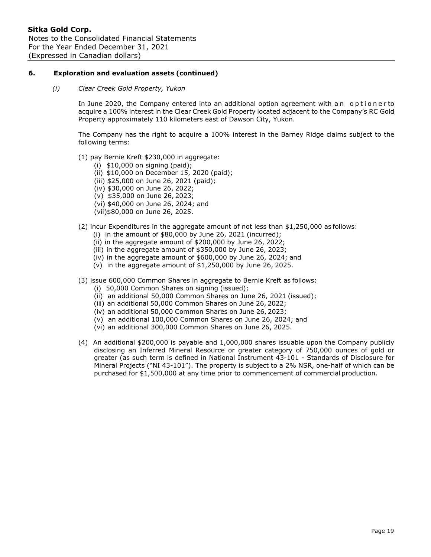*(i) Clear Creek Gold Property, Yukon* 

In June 2020, the Company entered into an additional option agreement with an optioner to acquire a 100% interest in the Clear Creek Gold Property located adjacent to the Company's RC Gold Property approximately 110 kilometers east of Dawson City, Yukon.

The Company has the right to acquire a 100% interest in the Barney Ridge claims subject to the following terms:

- (1) pay Bernie Kreft \$230,000 in aggregate:
	- (i) \$10,000 on signing (paid);
	- (ii) \$10,000 on December 15, 2020 (paid);
	- (iii) \$25,000 on June 26, 2021 (paid);
	- (iv) \$30,000 on June 26, 2022;
	- (v) \$35,000 on June 26, 2023;
	- (vi) \$40,000 on June 26, 2024; and
	- (vii)\$80,000 on June 26, 2025.
- (2) incur Expenditures in the aggregate amount of not less than \$1,250,000 as follows:
	- (i) in the amount of  $$80,000$  by June 26, 2021 (incurred);
	- (ii) in the aggregate amount of \$200,000 by June 26, 2022;
	- (iii) in the aggregate amount of \$350,000 by June 26, 2023;
	- (iv) in the aggregate amount of \$600,000 by June 26, 2024; and
	- (v) in the aggregate amount of \$1,250,000 by June 26, 2025.

(3) issue 600,000 Common Shares in aggregate to Bernie Kreft as follows:

- (i) 50,000 Common Shares on signing (issued);
- (ii) an additional 50,000 Common Shares on June 26, 2021 (issued);
- (iii) an additional 50,000 Common Shares on June 26, 2022;
- (iv) an additional 50,000 Common Shares on June 26, 2023;
- (v) an additional 100,000 Common Shares on June 26, 2024; and
- (vi) an additional 300,000 Common Shares on June 26, 2025.
- (4) An additional \$200,000 is payable and 1,000,000 shares issuable upon the Company publicly disclosing an Inferred Mineral Resource or greater category of 750,000 ounces of gold or greater (as such term is defined in National Instrument 43-101 - Standards of Disclosure for Mineral Projects ("NI 43-101"). The property is subject to a 2% NSR, one-half of which can be purchased for \$1,500,000 at any time prior to commencement of commercial production.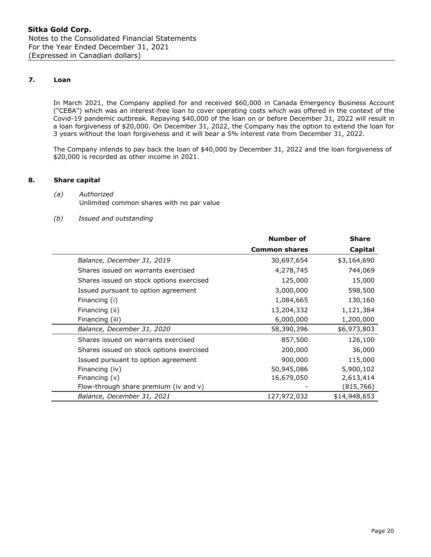## **7. Loan**

In March 2021, the Company applied for and received \$60,000 in Canada Emergency Business Account ("CEBA") which was an interest-free loan to cover operating costs which was offered in the context of the Covid-19 pandemic outbreak. Repaying \$40,000 of the loan on or before December 31, 2022 will result in a loan forgiveness of \$20,000. On December 31, 2022, the Company has the option to extend the loan for 3 years without the loan forgiveness and it will bear a 5% interest rate from December 31, 2022.

The Company intends to pay back the loan of \$40,000 by December 31, 2022 and the loan forgiveness of \$20,000 is recorded as other income in 2021.

## **8. Share capital**

- *(a) Authorized*  Unlimited common shares with no par value
- *(b) Issued and outstanding*

|                                          | <b>Number of</b>     | <b>Share</b> |
|------------------------------------------|----------------------|--------------|
|                                          | <b>Common shares</b> | Capital      |
| Balance, December 31, 2019               | 30,697,654           | \$3,164,690  |
| Shares issued on warrants exercised      | 4,278,745            | 744,069      |
| Shares issued on stock options exercised | 125,000              | 15,000       |
| Issued pursuant to option agreement      | 3,000,000            | 598,500      |
| Financing (i)                            | 1,084,665            | 130,160      |
| Financing (ii)                           | 13,204,332           | 1,121,384    |
| Financing (iii)                          | 6,000,000            | 1,200,000    |
| Balance, December 31, 2020               | 58,390,396           | \$6,973,803  |
| Shares issued on warrants exercised      | 857,500              | 126,100      |
| Shares issued on stock options exercised | 200,000              | 36,000       |
| Issued pursuant to option agreement      | 900,000              | 115,000      |
| Financing (iv)                           | 50,945,086           | 5,900,102    |
| Financing $(v)$                          | 16,679,050           | 2,613,414    |
| Flow-through share premium (iv and v)    |                      | (815, 766)   |
| Balance, December 31, 2021               | 127,972,032          | \$14,948,653 |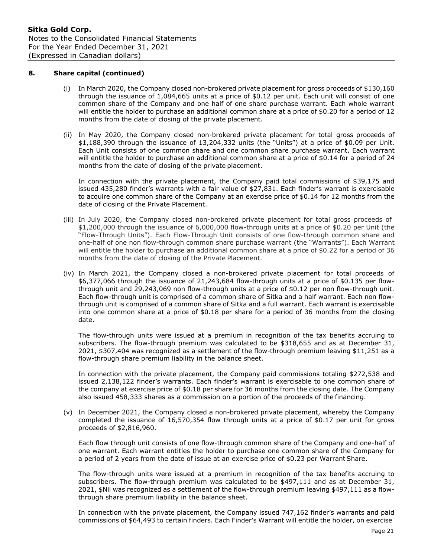#### **8. Share capital (continued)**

- (i) In March 2020, the Company closed non-brokered private placement for gross proceeds of \$130,160 through the issuance of 1,084,665 units at a price of \$0.12 per unit. Each unit will consist of one common share of the Company and one half of one share purchase warrant. Each whole warrant will entitle the holder to purchase an additional common share at a price of \$0.20 for a period of 12 months from the date of closing of the private placement.
- (ii) In May 2020, the Company closed non-brokered private placement for total gross proceeds of \$1,188,390 through the issuance of 13,204,332 units (the "Units") at a price of \$0.09 per Unit. Each Unit consists of one common share and one common share purchase warrant. Each warrant will entitle the holder to purchase an additional common share at a price of \$0.14 for a period of 24 months from the date of closing of the private placement.

In connection with the private placement, the Company paid total commissions of \$39,175 and issued 435,280 finder's warrants with a fair value of \$27,831. Each finder's warrant is exercisable to acquire one common share of the Company at an exercise price of \$0.14 for 12 months from the date of closing of the Private Placement.

- (iii) In July 2020, the Company closed non-brokered private placement for total gross proceeds of \$1,200,000 through the issuance of 6,000,000 flow-through units at a price of \$0.20 per Unit (the "Flow-Through Units"). Each Flow-Through Unit consists of one flow-through common share and one-half of one non flow-through common share purchase warrant (the "Warrants"). Each Warrant will entitle the holder to purchase an additional common share at a price of \$0.22 for a period of 36 months from the date of closing of the Private Placement.
- (iv) In March 2021, the Company closed a non-brokered private placement for total proceeds of \$6,377,066 through the issuance of 21,243,684 flow-through units at a price of \$0.135 per flowthrough unit and 29,243,069 non flow-through units at a price of \$0.12 per non flow-through unit. Each flow-through unit is comprised of a common share of Sitka and a half warrant. Each non flowthrough unit is comprised of a common share of Sitka and a full warrant. Each warrant is exercisable into one common share at a price of \$0.18 per share for a period of 36 months from the closing date.

The flow-through units were issued at a premium in recognition of the tax benefits accruing to subscribers. The flow-through premium was calculated to be \$318,655 and as at December 31, 2021, \$307,404 was recognized as a settlement of the flow-through premium leaving \$11,251 as a flow-through share premium liability in the balance sheet.

In connection with the private placement, the Company paid commissions totaling \$272,538 and issued 2,138,122 finder's warrants. Each finder's warrant is exercisable to one common share of the company at exercise price of \$0.18 per share for 36 months from the closing date. The Company also issued 458,333 shares as a commission on a portion of the proceeds of the financing.

(v) In December 2021, the Company closed a non-brokered private placement, whereby the Company completed the issuance of 16,570,354 flow through units at a price of \$0.17 per unit for gross proceeds of \$2,816,960.

Each flow through unit consists of one flow-through common share of the Company and one-half of one warrant. Each warrant entitles the holder to purchase one common share of the Company for a period of 2 years from the date of issue at an exercise price of \$0.23 per Warrant Share.

The flow-through units were issued at a premium in recognition of the tax benefits accruing to subscribers. The flow-through premium was calculated to be \$497,111 and as at December 31, 2021, \$Nil was recognized as a settlement of the flow-through premium leaving \$497,111 as a flowthrough share premium liability in the balance sheet.

In connection with the private placement, the Company issued 747,162 finder's warrants and paid commissions of \$64,493 to certain finders. Each Finder's Warrant will entitle the holder, on exercise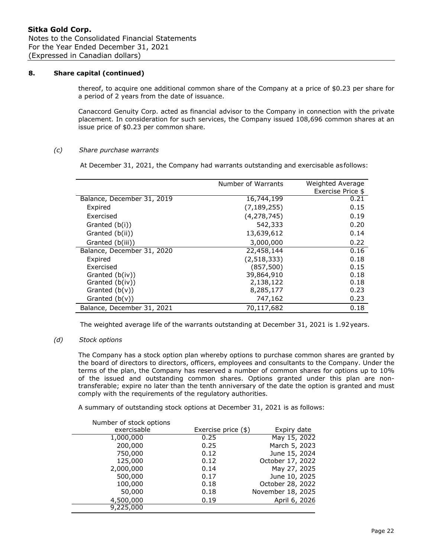## **8. Share capital (continued)**

thereof, to acquire one additional common share of the Company at a price of \$0.23 per share for a period of 2 years from the date of issuance.

Canaccord Genuity Corp. acted as financial advisor to the Company in connection with the private placement. In consideration for such services, the Company issued 108,696 common shares at an issue price of \$0.23 per common share.

#### *(c) Share purchase warrants*

At December 31, 2021, the Company had warrants outstanding and exercisable as follows:

|                            | Number of Warrants | Weighted Average  |
|----------------------------|--------------------|-------------------|
|                            |                    | Exercise Price \$ |
| Balance, December 31, 2019 | 16,744,199         | 0.21              |
| Expired                    | (7, 189, 255)      | 0.15              |
| Exercised                  | (4,278,745)        | 0.19              |
| Granted (b(i))             | 542,333            | 0.20              |
| Granted (b(ii))            | 13,639,612         | 0.14              |
| Granted (b(iii))           | 3,000,000          | 0.22              |
| Balance, December 31, 2020 | 22,458,144         | 0.16              |
| Expired                    | (2,518,333)        | 0.18              |
| Exercised                  | (857, 500)         | 0.15              |
| Granted $(b(iv))$          | 39,864,910         | 0.18              |
| Granted (b(iv))            | 2,138,122          | 0.18              |
| Granted $(b(v))$           | 8,285,177          | 0.23              |
| Granted $(b(v))$           | 747,162            | 0.23              |
| Balance, December 31, 2021 | 70,117,682         | 0.18              |

The weighted average life of the warrants outstanding at December 31, 2021 is 1.92 years.

## *(d) Stock options*

The Company has a stock option plan whereby options to purchase common shares are granted by the board of directors to directors, officers, employees and consultants to the Company. Under the terms of the plan, the Company has reserved a number of common shares for options up to 10% of the issued and outstanding common shares. Options granted under this plan are nontransferable; expire no later than the tenth anniversary of the date the option is granted and must comply with the requirements of the regulatory authorities.

A summary of outstanding stock options at December 31, 2021 is as follows:

| Number of stock options |                      |                   |
|-------------------------|----------------------|-------------------|
| exercisable             | Exercise price $(*)$ | Expiry date       |
| 1,000,000               | 0.25                 | May 15, 2022      |
| 200,000                 | 0.25                 | March 5, 2023     |
| 750,000                 | 0.12                 | June 15, 2024     |
| 125,000                 | 0.12                 | October 17, 2022  |
| 2,000,000               | 0.14                 | May 27, 2025      |
| 500,000                 | 0.17                 | June 10, 2025     |
| 100,000                 | 0.18                 | October 28, 2022  |
| 50,000                  | 0.18                 | November 18, 2025 |
| 4,500,000               | 0.19                 | April 6, 2026     |
| 9,225,000               |                      |                   |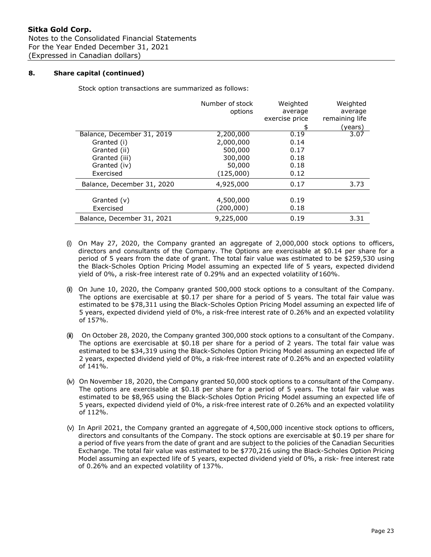## **8. Share capital (continued)**

Stock option transactions are summarized as follows:

|                            | Number of stock<br>options | Weighted<br>average | Weighted<br>average |
|----------------------------|----------------------------|---------------------|---------------------|
|                            |                            | exercise price      | remaining life      |
|                            |                            | \$                  | (years)             |
| Balance, December 31, 2019 | 2,200,000                  | 0.19                | 3.07                |
| Granted (i)                | 2,000,000                  | 0.14                |                     |
| Granted (ii)               | 500,000                    | 0.17                |                     |
| Granted (iii)              | 300,000                    | 0.18                |                     |
| Granted (iv)               | 50,000                     | 0.18                |                     |
| Exercised                  | (125,000)                  | 0.12                |                     |
| Balance, December 31, 2020 | 4,925,000                  | 0.17                | 3.73                |
|                            |                            |                     |                     |
| Granted (v)                | 4,500,000                  | 0.19                |                     |
| Exercised                  | (200,000)                  | 0.18                |                     |
| Balance, December 31, 2021 | 9,225,000                  | 0.19                | 3.31                |

- (i) On May 27, 2020, the Company granted an aggregate of 2,000,000 stock options to officers, directors and consultants of the Company. The Options are exercisable at \$0.14 per share for a period of 5 years from the date of grant. The total fair value was estimated to be \$259,530 using the Black-Scholes Option Pricing Model assuming an expected life of 5 years, expected dividend yield of 0%, a risk-free interest rate of 0.29% and an expected volatility of 160%.
- (ii) On June 10, 2020, the Company granted 500,000 stock options to a consultant of the Company. The options are exercisable at \$0.17 per share for a period of 5 years. The total fair value was estimated to be \$78,311 using the Black-Scholes Option Pricing Model assuming an expected life of 5 years, expected dividend yield of 0%, a risk-free interest rate of 0.26% and an expected volatility of 157%.
- (iii) On October 28, 2020, the Company granted 300,000 stock options to a consultant of the Company. The options are exercisable at \$0.18 per share for a period of 2 years. The total fair value was estimated to be \$34,319 using the Black-Scholes Option Pricing Model assuming an expected life of 2 years, expected dividend yield of 0%, a risk-free interest rate of 0.26% and an expected volatility of 141%.
- (iv) On November 18, 2020, the Company granted 50,000 stock options to a consultant of the Company. The options are exercisable at \$0.18 per share for a period of 5 years. The total fair value was estimated to be \$8,965 using the Black-Scholes Option Pricing Model assuming an expected life of 5 years, expected dividend yield of 0%, a risk-free interest rate of 0.26% and an expected volatility of 112%.
- (v) In April 2021, the Company granted an aggregate of 4,500,000 incentive stock options to officers, directors and consultants of the Company. The stock options are exercisable at \$0.19 per share for a period of five years from the date of grant and are subject to the policies of the Canadian Securities Exchange. The total fair value was estimated to be \$770,216 using the Black-Scholes Option Pricing Model assuming an expected life of 5 years, expected dividend yield of 0%, a risk- free interest rate of 0.26% and an expected volatility of 137%.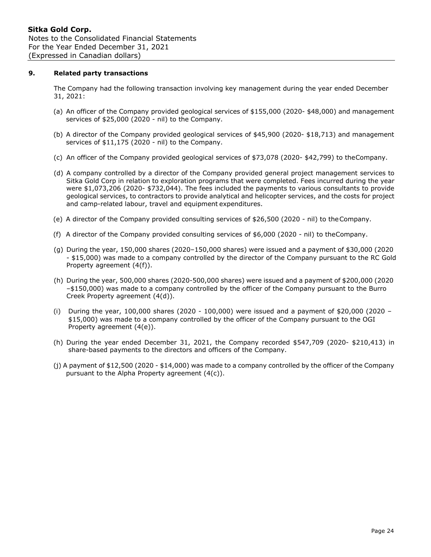## **9. Related party transactions**

The Company had the following transaction involving key management during the year ended December 31, 2021:

- (a) An officer of the Company provided geological services of \$155,000 (2020- \$48,000) and management services of \$25,000 (2020 - nil) to the Company.
- (b) A director of the Company provided geological services of \$45,900 (2020- \$18,713) and management services of \$11,175 (2020 - nil) to the Company.
- (c) An officer of the Company provided geological services of \$73,078 (2020- \$42,799) to the Company.
- (d) A company controlled by a director of the Company provided general project management services to Sitka Gold Corp in relation to exploration programs that were completed. Fees incurred during the year were \$1,073,206 (2020- \$732,044). The fees included the payments to various consultants to provide geological services, to contractors to provide analytical and helicopter services, and the costs for project and camp-related labour, travel and equipment expenditures.
- (e) A director of the Company provided consulting services of \$26,500 (2020 nil) to the Company.
- (f) A director of the Company provided consulting services of \$6,000 (2020 nil) to the Company.
- (g) During the year, 150,000 shares (2020–150,000 shares) were issued and a payment of \$30,000 (2020 - \$15,000) was made to a company controlled by the director of the Company pursuant to the RC Gold Property agreement (4(f)).
- (h) During the year, 500,000 shares (2020-500,000 shares) were issued and a payment of \$200,000 (2020 –\$150,000) was made to a company controlled by the officer of the Company pursuant to the Burro Creek Property agreement (4(d)).
- (i) During the year, 100,000 shares (2020 100,000) were issued and a payment of \$20,000 (2020 \$15,000) was made to a company controlled by the officer of the Company pursuant to the OGI Property agreement (4(e)).
- (h) During the year ended December 31, 2021, the Company recorded \$547,709 (2020- \$210,413) in share-based payments to the directors and officers of the Company.
- (j) A payment of \$12,500 (2020 \$14,000) was made to a company controlled by the officer of the Company pursuant to the Alpha Property agreement (4(c)).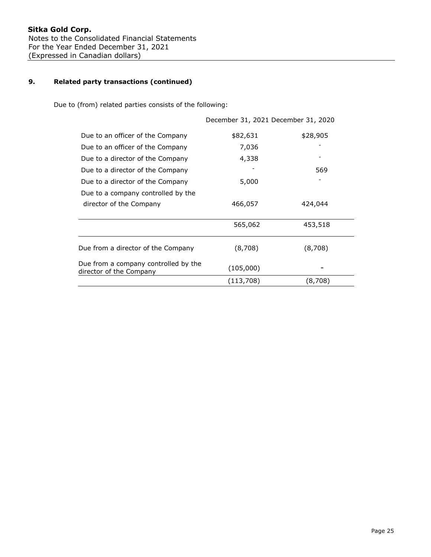## **9. Related party transactions (continued)**

Due to (from) related parties consists of the following:

|                                                                 | December 31, 2021 December 31, 2020 |          |
|-----------------------------------------------------------------|-------------------------------------|----------|
| Due to an officer of the Company                                | \$82,631                            | \$28,905 |
| Due to an officer of the Company                                | 7,036                               |          |
| Due to a director of the Company                                | 4,338                               |          |
| Due to a director of the Company                                |                                     | 569      |
| Due to a director of the Company                                | 5,000                               |          |
| Due to a company controlled by the                              |                                     |          |
| director of the Company                                         | 466,057                             | 424,044  |
|                                                                 | 565,062                             | 453,518  |
| Due from a director of the Company                              | (8,708)                             | (8,708)  |
| Due from a company controlled by the<br>director of the Company | (105,000)                           |          |
|                                                                 | (113,708)                           | (8,708)  |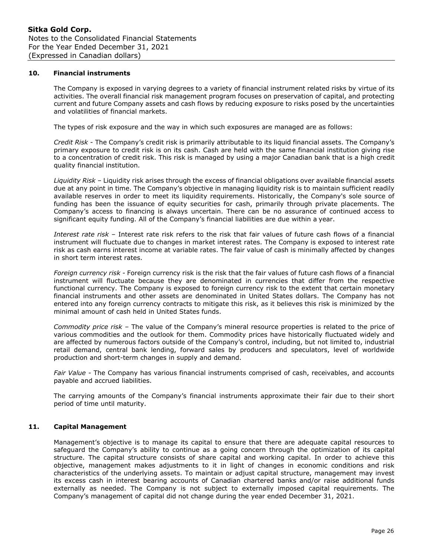#### **10. Financial instruments**

The Company is exposed in varying degrees to a variety of financial instrument related risks by virtue of its activities. The overall financial risk management program focuses on preservation of capital, and protecting current and future Company assets and cash flows by reducing exposure to risks posed by the uncertainties and volatilities of financial markets.

The types of risk exposure and the way in which such exposures are managed are as follows:

*Credit Risk* - The Company's credit risk is primarily attributable to its liquid financial assets. The Company's primary exposure to credit risk is on its cash. Cash are held with the same financial institution giving rise to a concentration of credit risk. This risk is managed by using a major Canadian bank that is a high credit quality financial institution.

*Liquidity Risk –* Liquidity risk arises through the excess of financial obligations over available financial assets due at any point in time. The Company's objective in managing liquidity risk is to maintain sufficient readily available reserves in order to meet its liquidity requirements. Historically, the Company's sole source of funding has been the issuance of equity securities for cash, primarily through private placements. The Company's access to financing is always uncertain. There can be no assurance of continued access to significant equity funding. All of the Company's financial liabilities are due within a year.

*Interest rate risk* – Interest rate risk refers to the risk that fair values of future cash flows of a financial instrument will fluctuate due to changes in market interest rates. The Company is exposed to interest rate risk as cash earns interest income at variable rates. The fair value of cash is minimally affected by changes in short term interest rates.

*Foreign currency risk -* Foreign currency risk is the risk that the fair values of future cash flows of a financial instrument will fluctuate because they are denominated in currencies that differ from the respective functional currency. The Company is exposed to foreign currency risk to the extent that certain monetary financial instruments and other assets are denominated in United States dollars. The Company has not entered into any foreign currency contracts to mitigate this risk, as it believes this risk is minimized by the minimal amount of cash held in United States funds.

*Commodity price risk –* The value of the Company's mineral resource properties is related to the price of various commodities and the outlook for them. Commodity prices have historically fluctuated widely and are affected by numerous factors outside of the Company's control, including, but not limited to, industrial retail demand, central bank lending, forward sales by producers and speculators, level of worldwide production and short-term changes in supply and demand.

*Fair Value -* The Company has various financial instruments comprised of cash, receivables, and accounts payable and accrued liabilities.

The carrying amounts of the Company's financial instruments approximate their fair due to their short period of time until maturity.

#### **11. Capital Management**

Management's objective is to manage its capital to ensure that there are adequate capital resources to safeguard the Company's ability to continue as a going concern through the optimization of its capital structure. The capital structure consists of share capital and working capital. In order to achieve this objective, management makes adjustments to it in light of changes in economic conditions and risk characteristics of the underlying assets. To maintain or adjust capital structure, management may invest its excess cash in interest bearing accounts of Canadian chartered banks and/or raise additional funds externally as needed. The Company is not subject to externally imposed capital requirements. The Company's management of capital did not change during the year ended December 31, 2021.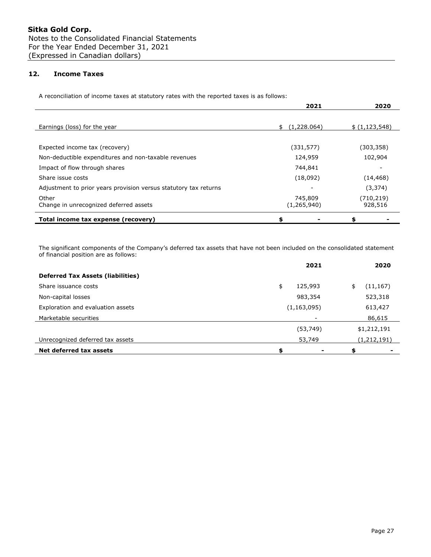## **12. Income Taxes**

A reconciliation of income taxes at statutory rates with the reported taxes is as follows:

|                                                                  | 2021                     | 2020                  |
|------------------------------------------------------------------|--------------------------|-----------------------|
|                                                                  |                          |                       |
| Earnings (loss) for the year                                     | (1.228.064)<br>\$        | \$(1,123,548)         |
|                                                                  |                          |                       |
| Expected income tax (recovery)                                   | (331, 577)               | (303,358)             |
| Non-deductible expenditures and non-taxable revenues             | 124,959                  | 102,904               |
| Impact of flow through shares                                    | 744,841                  |                       |
| Share issue costs                                                | (18,092)                 | (14, 468)             |
| Adjustment to prior years provision versus statutory tax returns | $\overline{\phantom{a}}$ | (3,374)               |
| Other<br>Change in unrecognized deferred assets                  | 745,809<br>(1,265,940)   | (710, 219)<br>928,516 |
| Total income tax expense (recovery)                              | \$                       |                       |

The significant components of the Company's deferred tax assets that have not been included on the consolidated statement of financial position are as follows:

|                                          | 2021          | 2020            |
|------------------------------------------|---------------|-----------------|
| <b>Deferred Tax Assets (liabilities)</b> |               |                 |
| Share issuance costs                     | \$<br>125,993 | (11, 167)<br>\$ |
| Non-capital losses                       | 983,354       | 523,318         |
| Exploration and evaluation assets        | (1, 163, 095) | 613,427         |
| Marketable securities                    |               | 86,615          |
|                                          | (53,749)      | \$1,212,191     |
| Unrecognized deferred tax assets         | 53,749        | (1, 212, 191)   |
| Net deferred tax assets                  |               |                 |